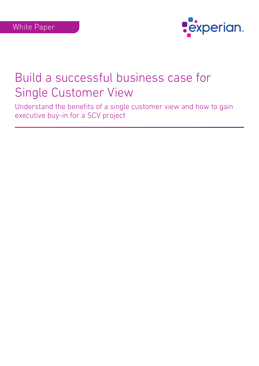

Understand the benefits of a single customer view and how to gain executive buy-in for a SCV project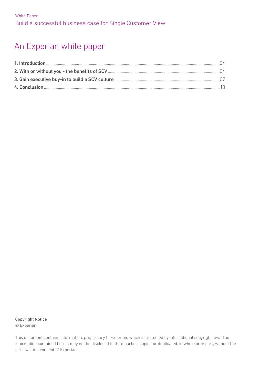# An Experian white paper

### Copyright Notice

© Experian

This document contains information, proprietary to Experian, which is protected by international copyright law. The information contained herein may not be disclosed to third parties, copied or duplicated, in whole or in part, without the prior written consent of Experian.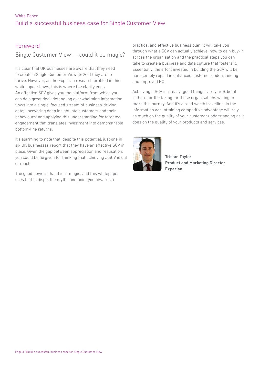### Foreword

## Single Customer View — could it be magic?

It's clear that UK businesses are aware that they need to create a Single Customer View (SCV) if they are to thrive. However, as the Experian research profiled in this whitepaper shows, this is where the clarity ends. An effective SCV gives you the platform from which you can do a great deal; detangling overwhelming information flows into a single, focused stream of business-driving data; uncovering deep insight into customers and their behaviours; and applying this understanding for targeted engagement that translates investment into demonstrable bottom-line returns.

It's alarming to note that, despite this potential, just one in six UK businesses report that they have an effective SCV in place. Given the gap between appreciation and realisation, you could be forgiven for thinking that achieving a SCV is out of reach.

The good news is that it isn't magic, and this whitepaper uses fact to dispel the myths and point you towards a

practical and effective business plan. It will take you through what a SCV can actually achieve, how to gain buy-in across the organisation and the practical steps you can take to create a business and data culture that fosters it. Essentially, the effort invested in building the SCV will be handsomely repaid in enhanced customer understanding and improved ROI.

Achieving a SCV isn't easy (good things rarely are), but it is there for the taking for those organisations willing to make the journey. And it's a road worth travelling; in the information age, attaining competitive advantage will rely as much on the quality of your customer understanding as it does on the quality of your products and services.



Tristan Taylor Product and Marketing Director Experian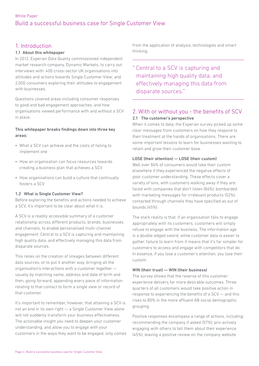### 1. Introduction

### 1.1 About this whitepaper

In 2012, Experian Data Quality commissioned independent market research company, Dynamic Markets, to carry out interviews with: 400 cross-sector UK organisations into attitudes and actions towards Single Customer View; and 2,000 consumers exploring their attitudes to engagement with businesses.

Questions covered areas including consumer responses to good and bad engagement approaches, and how organisations viewed performance with and without a SCV in place.

### This whitepaper breaks findings down into three key areas:

- What a SCV can achieve and the costs of failing to implement one
- How an organisation can focus resources towards creating a business plan that achieves a SCV
- How organisations can build a culture that continually fosters a SCV

### 1.2 What is Single Customer View?

Before exploring the benefits and actions needed to achieve a SCV, it's important to be clear about what it is.

A SCV is a readily accessible summary of a customer relationship across different products, brands, businesses and channels, to enable personalised multi-channel engagement. Central to a SCV is capturing and maintaining high quality data, and effectively managing this data from disparate sources.

This relies on the creation of linkages between different data sources, or to put it another way, bringing all the organisation's interactions with a customer together usually by matching name, address and date of birth and then, going forward, appending every piece of information relating to that contact to form a single view or record of that customer.

It's important to remember, however, that attaining a SCV is not an end in its own right — a Single Customer View alone will not suddenly transform your business effectiveness. The actionable insight you need to deepen your customer understanding, and allow you to engage with your customers in the ways they want to be engaged, only comes from the application of analysis, technologies and smart thinking.

Central to a SCV is capturing and maintaining high quality data, and effectively managing this data from disparate sources."

### 2. With or without you - the benefits of SCV 2.1 The customer's perspective

When it comes to data, the Experian survey picked up some clear messages from customers on how they respond to their treatment at the hands of organisations. There are some important lessons to learn for businesses wanting to retain and grow their customer base.

### LOSE (their attention) — LOSE (their custom)

Well over 84% of consumers would take their custom elsewhere if they experienced the negative effects of poor customer understanding. These effects cover a variety of sins, with customers walking away if they are: faced with companies that don't listen (84%); bombarded with marketing messages for irrelevant products (52%); contacted through channels they have specified as out of bounds (45%).

The stark reality is that, if an organisation fails to engage appropriately with its customers, customers will simply refuse to engage with the business. The information age is a double-edged sword; while customer data is easier to gather, failure to learn from it means that it's far simpler for customers to access and engage with competitors that do. In essence, if you lose a customer's attention, you lose their custom.

### WIN (their trust) — WIN (their business)

The survey shows that the reverse of this customer experience delivers far more desirable outcomes. Three quarters of all customers would take positive action in response to experiencing the benefits of a SCV — and this rises to 80% in the more affluent AB social demographic grouping.

Positive responses encompass a range of actions, including: recommending the company if asked (57%); pro-actively engaging with others to tell them about their experience (45%); leaving a positive review on the company website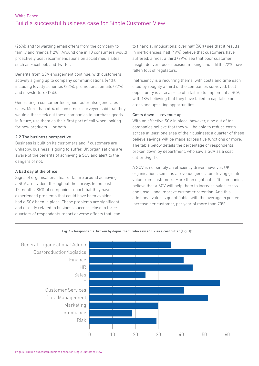(26%); and forwarding email offers from the company to family and friends (12%). Around one in 10 consumers would proactively post recommendations on social media sites such as Facebook and Twitter.

Benefits from SCV engagement continue, with customers actively signing up to company communications (44%), including loyalty schemes (32%), promotional emails (22%) and newsletters (12%).

Generating a consumer feel-good factor also generates sales. More than 40% of consumers surveyed said that they would either seek out these companies to purchase goods in future, use them as their first port of call when looking for new products — or both.

### 2.2 The business perspective

Business is built on its customers and if customers are unhappy, business is going to suffer. UK organisations are aware of the benefits of achieving a SCV and alert to the dangers of not.

### A bad day at the office

Signs of organisational fear of failure around achieving a SCV are evident throughout the survey. In the past 12 months, 85% of companies report that they have experienced problems that could have been avoided had a SCV been in place. These problems are significant and directly related to business success: close to three quarters of respondents report adverse effects that lead to financial implications; over half (58%) see that it results in inefficiencies; half (49%) believe that customers have suffered; almost a third (29%) see that poor customer insight delivers poor decision making; and a fifth (22%) have fallen foul of regulators.

Inefficiency is a recurring theme, with costs and time each cited by roughly a third of the companies surveyed. Lost opportunity is also a price of a failure to implement a SCV, with 18% believing that they have failed to capitalise on cross and upselling opportunities.

#### Costs down — revenue up

With an effective SCV in place, however, nine out of ten companies believe that they will be able to reduce costs across at least one area of their business; a quarter of these believe savings will be made across five functions or more. The table below details the percentage of respondents, broken down by department, who saw a SCV as a cost cutter (Fig. 1):

A SCV is not simply an efficiency driver, however. UK organisations see it as a revenue generator, driving greater value from customers. More than eight out of 10 companies believe that a SCV will help them to increase sales, cross and upsell, and improve customer retention. And this additional value is quantifiable, with the average expected increase per customer, per year of more than 70%.



Fig. 1 – Respondents, broken by department, who saw a SCV as a cost cutter (Fig. 1):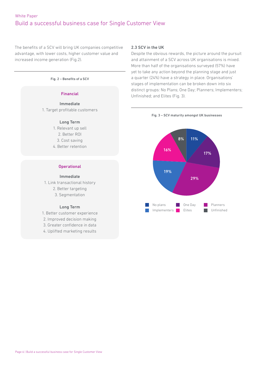The benefits of a SCV will bring UK companies competitive advantage, with lower costs, higher customer value and increased income generation (Fig.2).

Fig. 2 – Benefits of a SCV

### Immediate

1. Target profitable customers

#### Long Term

1. Relevant up sell 2. Better ROI 3. Cost saving 4. Better retention

### **Operational**

#### Immediate

1. Link transactional history 2. Better targeting 3. Segmentation

### Long Term

1. Better customer experience

2. Improved decision making

3. Greater confidence in data

4. Uplifted marketing results

### 2.3 SCV in the UK

Despite the obvious rewards, the picture around the pursuit and attainment of a SCV across UK organisations is mixed. More than half of the organisations surveyed (57%) have yet to take any action beyond the planning stage and just a quarter (24%) have a strategy in place. Organisations' stages of implementation can be broken down into six distinct groups: No Plans; One Day; Planners; Implementers; **Financial**<br>Unfinished; and Elites (Fig. 3).



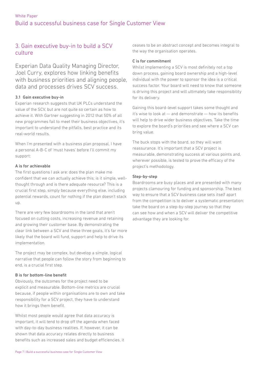### 3. Gain executive buy-in to build a SCV culture

Experian Data Quality Managing Director, Joel Curry, explores how linking benefits with business priorities and aligning people, data and processes drives SCV success.

### 3.1 Gain executive buy-in

Experian research suggests that UK PLCs understand the value of the SCV, but are not quite so certain as how to achieve it. With Gartner suggesting in 2012 that 50% of all new programmes fail to meet their business objectives, it's important to understand the pitfalls, best practice and its real-world results.

When I'm presented with a business plan proposal, I have a personal A-B-C of 'must haves' before I'll commit my support:

### A is for achievable

The first questions I ask are: does the plan make me confident that we can actually achieve this; is it simple, wellthought through and is there adequate resource? This is a crucial first step, simply because everything else, including potential rewards, count for nothing if the plan doesn't stack up.

There are very few boardrooms in the land that aren't focused on cutting costs, increasing revenue and retaining and growing their customer base. By demonstrating the clear link between a SCV and these three goals, it's far more likely that the board will fund, support and help to drive its implementation.

The project may be complex, but develop a simple, logical narrative that people can follow the story from beginning to end, is a crucial first step.

### B is for bottom-line benefit

Obviously, the outcomes for the project need to be explicit and measurable. Bottom-line metrics are crucial because, if people within organisations are to own and take responsibility for a SCV project, they have to understand how it brings them benefit.

Whilst most people would agree that data accuracy is important, it will tend to drop off the agenda when faced with day-to-day business realities. If, however, it can be shown that data accuracy relates directly to business benefits such as increased sales and budget efficiencies, it ceases to be an abstract concept and becomes integral to the way the organisation operates.

### C is for commitment

Whilst implementing a SCV is most definitely not a top down process, gaining board ownership and a high-level individual with the power to sponsor the idea is a critical success factor. Your board will need to know that someone is driving this project and will ultimately take responsibility for its delivery.

Gaining this board-level support takes some thought and it's wise to look at — and demonstrate — how its benefits will help to drive wider business objectives. Take the time to explore the board's priorities and see where a SCV can bring value.

The buck stops with the board, so they will want reassurance. It's important that a SCV project is measurable, demonstrating success at various points and, wherever possible, is tested to prove the efficacy of the project's methodology.

### Step-by-step

Boardrooms are busy places and are presented with many projects clamouring for funding and sponsorship. The best way to ensure that a SCV business case sets itself apart from the competition is to deliver a systematic presentation: take the board on a step-by-step journey so that they can see how and when a SCV will deliver the competitive advantage they are looking for.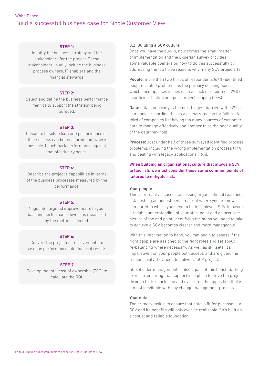#### STEP 1:

Identify the business strategy and the stakeholders for the project. These stakeholders usually include the business process owners, IT enablers and the financial stewards.

### STEP 2:

Select and define the business performance metrics to support the strategy being pursued.

### STEP 3:

Calculate baseline (current) performance so that success can be measured and, where possible, benchmark performance against that of industry peers.

### STEP 4:

Describe the project's capabilities in terms of the business processes measured by the performance.

### STEP 5:

Negotiate targeted improvements to your baseline performance levels as measured by the metrics selected.

### STEP 6:

Convert the projected improvements to baseline performance into financial results.

### STEP 7

Develop the total cost of ownership (TCO) to calculate the ROI.

### 3.2 Building a SCV culture

Once you have the buy-in, now comes the small matter of implementation and the Experian survey provides some valuable pointers on how to do this successfully by addressing the top three reasons why many SCV projects fail.

People: more than two thirds of respondents (67%) identified people-related problems as the primary sticking point, which encompasses issues such as lack of resources (29%), insufficient testing and poor project scoping (23%).

Data: data complexity is the next biggest barrier, with 52% of companies recording this as a primary reason for failure. A third of companies list having too many sources of customer data to manage effectively and another third the poor quality of the data they hold.

Process: Just under half of those surveyed identified process problems, including the wrong implementation process (17%) and dealing with legacy applications (16%).

When building an organisational culture that allows a SCV to flourish, we must consider those same common points of failures to mitigate risk.

#### Your people

This is primarily a case of assessing organisational readiness: establishing an honest benchmark of where you are now, compared to where you need to be to achieve a SCV. In having a reliable understanding of your start point and an accurate picture of the end point, identifying the steps you need to take to achieve a SCV becomes clearer and more manageable.

With this information to hand, you can begin to assess if the right people are assigned to the right roles and set about re-balancing where necessary. As well as skillsets, it's imperative that your people both accept, and are given, the responsibility they need to deliver a SCV project.

Stakeholder management is also a part of this benchmarking exercise, ensuring that support is in place to drive the project through to its conclusion and overcome the opposition that is almost inevitable with any change management process.

### Your data

The primary task is to ensure that data is fit for purpose  $-$  a SCV and its benefits will only ever be realisable if it's built on a robust and reliable foundation.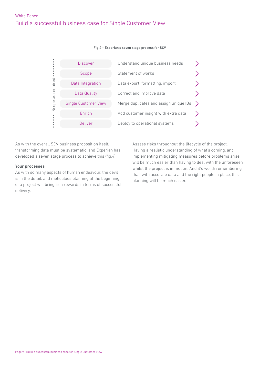

Fig.4 – Experian's seven stage process for SCV

As with the overall SCV business proposition itself, transforming data must be systematic, and Experian has developed a seven stage process to achieve this (fig.4):

#### Your processes

As with so many aspects of human endeavour, the devil is in the detail, and meticulous planning at the beginning of a project will bring rich rewards in terms of successful delivery.

Assess risks throughout the lifecycle of the project. Having a realistic understanding of what's coming, and implementing mitigating measures before problems arise, will be much easier than having to deal with the unforeseen whilst the project is in motion. And it's worth remembering that, with accurate data and the right people in place, this planning will be much easier.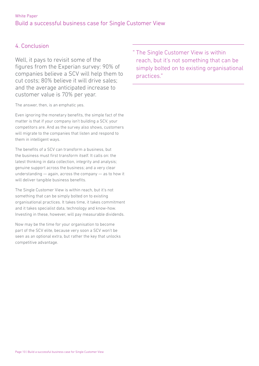## 4. Conclusion

Well, it pays to revisit some of the figures from the Experian survey: 90% of companies believe a SCV will help them to cut costs; 80% believe it will drive sales; and the average anticipated increase to customer value is 70% per year.

The answer, then, is an emphatic yes.

Even ignoring the monetary benefits, the simple fact of the matter is that if your company isn't building a SCV, your competitors are. And as the survey also shows, customers will migrate to the companies that listen and respond to them in intelligent ways.

The benefits of a SCV can transform a business, but the business must first transform itself. It calls on: the latest thinking in data collection, integrity and analysis; genuine support across the business; and a very clear understanding — again, across the company — as to how it will deliver tangible business benefits.

The Single Customer View is within reach, but it's not something that can be simply bolted on to existing organisational practices. It takes time, it takes commitment and it takes specialist data, technology and know-how. Investing in these, however, will pay measurable dividends.

Now may be the time for your organisation to become part of the SCV elite, because very soon a SCV won't be seen as an optional extra, but rather the key that unlocks competitive advantage.

" The Single Customer View is within reach, but it's not something that can be simply bolted on to existing organisational practices."